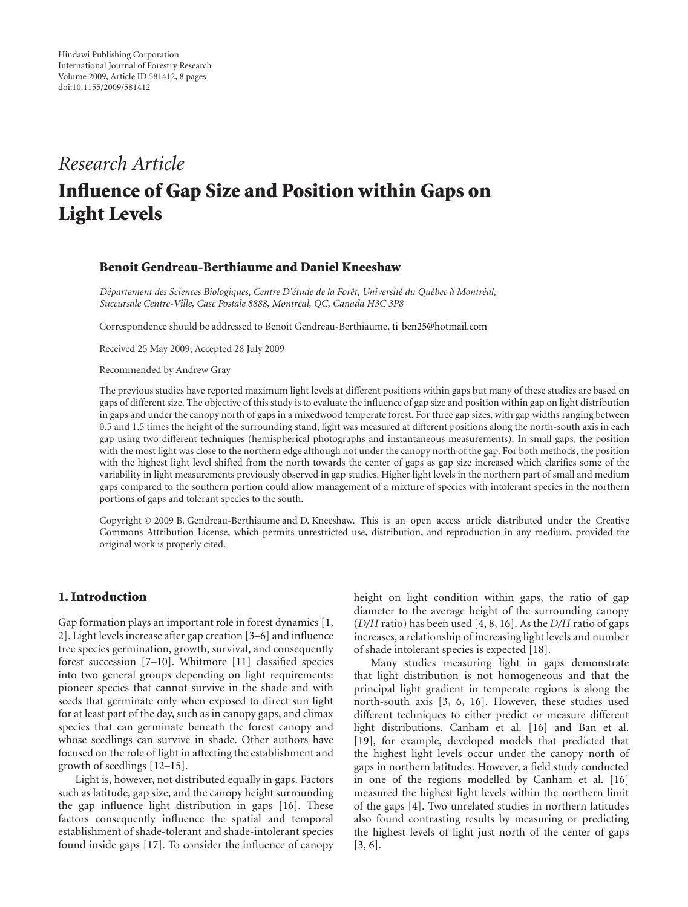# *Research Article*

# **Influence of Gap Size and Position within Gaps on Light Levels**

# **Benoit Gendreau-Berthiaume and Daniel Kneeshaw**

*D´epartement des Sciences Biologiques, Centre D'´etude de la Forˆet, Universit´e du Qu´ebec a Montr ` ´eal,* Succursale Centre-Ville, Case Postale 8888, Montréal, QC, Canada H3C 3P8

Correspondence should be addressed to Benoit Gendreau-Berthiaume, ti ben25@hotmail.com

Received 25 May 2009; Accepted 28 July 2009

Recommended by Andrew Gray

The previous studies have reported maximum light levels at different positions within gaps but many of these studies are based on gaps of different size. The objective of this study is to evaluate the influence of gap size and position within gap on light distribution in gaps and under the canopy north of gaps in a mixedwood temperate forest. For three gap sizes, with gap widths ranging between 0.5 and 1.5 times the height of the surrounding stand, light was measured at different positions along the north-south axis in each gap using two different techniques (hemispherical photographs and instantaneous measurements). In small gaps, the position with the most light was close to the northern edge although not under the canopy north of the gap. For both methods, the position with the highest light level shifted from the north towards the center of gaps as gap size increased which clarifies some of the variability in light measurements previously observed in gap studies. Higher light levels in the northern part of small and medium gaps compared to the southern portion could allow management of a mixture of species with intolerant species in the northern portions of gaps and tolerant species to the south.

Copyright © 2009 B. Gendreau-Berthiaume and D. Kneeshaw. This is an open access article distributed under the Creative Commons Attribution License, which permits unrestricted use, distribution, and reproduction in any medium, provided the original work is properly cited.

## **1. Introduction**

Gap formation plays an important role in forest dynamics [1, 2]. Light levels increase after gap creation [3–6] and influence tree species germination, growth, survival, and consequently forest succession [7–10]. Whitmore [11] classified species into two general groups depending on light requirements: pioneer species that cannot survive in the shade and with seeds that germinate only when exposed to direct sun light for at least part of the day, such as in canopy gaps, and climax species that can germinate beneath the forest canopy and whose seedlings can survive in shade. Other authors have focused on the role of light in affecting the establishment and growth of seedlings [12–15].

Light is, however, not distributed equally in gaps. Factors such as latitude, gap size, and the canopy height surrounding the gap influence light distribution in gaps [16]. These factors consequently influence the spatial and temporal establishment of shade-tolerant and shade-intolerant species found inside gaps [17]. To consider the influence of canopy

height on light condition within gaps, the ratio of gap diameter to the average height of the surrounding canopy (*D/H* ratio) has been used [4, 8, 16]. As the *D/H* ratio of gaps increases, a relationship of increasing light levels and number of shade intolerant species is expected [18].

Many studies measuring light in gaps demonstrate that light distribution is not homogeneous and that the principal light gradient in temperate regions is along the north-south axis [3, 6, 16]. However, these studies used different techniques to either predict or measure different light distributions. Canham et al. [16] and Ban et al. [19], for example, developed models that predicted that the highest light levels occur under the canopy north of gaps in northern latitudes. However, a field study conducted in one of the regions modelled by Canham et al. [16] measured the highest light levels within the northern limit of the gaps [4]. Two unrelated studies in northern latitudes also found contrasting results by measuring or predicting the highest levels of light just north of the center of gaps [3, 6].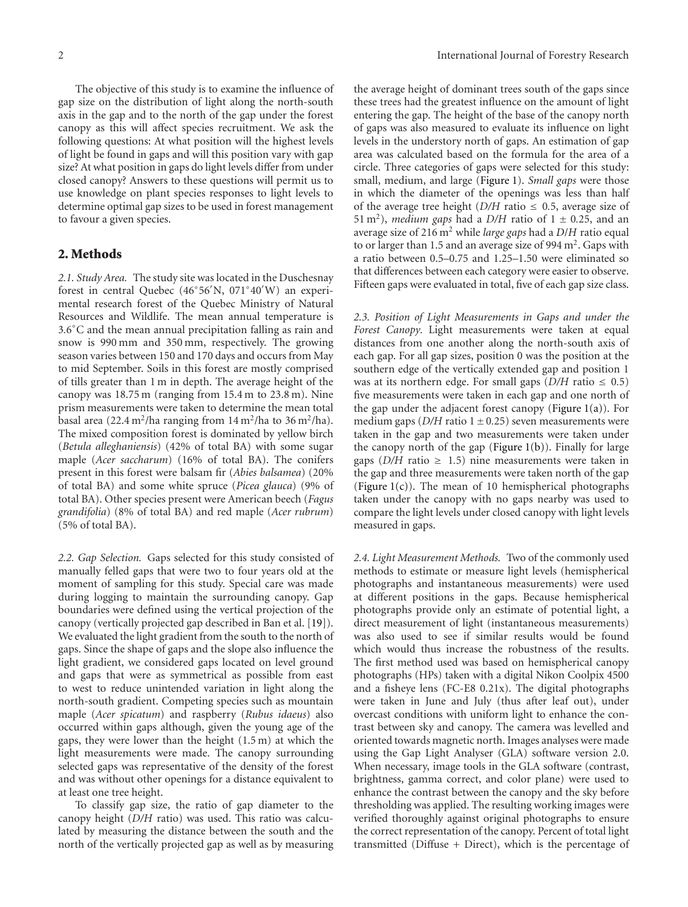The objective of this study is to examine the influence of gap size on the distribution of light along the north-south axis in the gap and to the north of the gap under the forest canopy as this will affect species recruitment. We ask the following questions: At what position will the highest levels of light be found in gaps and will this position vary with gap size? At what position in gaps do light levels differ from under closed canopy? Answers to these questions will permit us to use knowledge on plant species responses to light levels to determine optimal gap sizes to be used in forest management to favour a given species.

### **2. Methods**

*2.1. Study Area.* The study site was located in the Duschesnay forest in central Quebec (46◦56 N, 071◦40 W) an experimental research forest of the Quebec Ministry of Natural Resources and Wildlife. The mean annual temperature is 3*.*6◦C and the mean annual precipitation falling as rain and snow is 990 mm and 350 mm, respectively. The growing season varies between 150 and 170 days and occurs from May to mid September. Soils in this forest are mostly comprised of tills greater than 1 m in depth. The average height of the canopy was 18.75 m (ranging from 15.4 m to 23.8 m). Nine prism measurements were taken to determine the mean total basal area (22.4 m<sup>2</sup>/ha ranging from  $14 \text{ m}^2$ /ha to  $36 \text{ m}^2$ /ha). The mixed composition forest is dominated by yellow birch (*Betula alleghaniensis*) (42% of total BA) with some sugar maple (*Acer saccharum*) (16% of total BA). The conifers present in this forest were balsam fir (*Abies balsamea*) (20% of total BA) and some white spruce (*Picea glauca*) (9% of total BA). Other species present were American beech (*Fagus grandifolia*) (8% of total BA) and red maple (*Acer rubrum*) (5% of total BA).

*2.2. Gap Selection.* Gaps selected for this study consisted of manually felled gaps that were two to four years old at the moment of sampling for this study. Special care was made during logging to maintain the surrounding canopy. Gap boundaries were defined using the vertical projection of the canopy (vertically projected gap described in Ban et al. [19]). We evaluated the light gradient from the south to the north of gaps. Since the shape of gaps and the slope also influence the light gradient, we considered gaps located on level ground and gaps that were as symmetrical as possible from east to west to reduce unintended variation in light along the north-south gradient. Competing species such as mountain maple (*Acer spicatum*) and raspberry (*Rubus idaeus*) also occurred within gaps although, given the young age of the gaps, they were lower than the height (1.5 m) at which the light measurements were made. The canopy surrounding selected gaps was representative of the density of the forest and was without other openings for a distance equivalent to at least one tree height.

To classify gap size, the ratio of gap diameter to the canopy height (*D/H* ratio) was used. This ratio was calculated by measuring the distance between the south and the north of the vertically projected gap as well as by measuring

the average height of dominant trees south of the gaps since these trees had the greatest influence on the amount of light entering the gap. The height of the base of the canopy north of gaps was also measured to evaluate its influence on light levels in the understory north of gaps. An estimation of gap area was calculated based on the formula for the area of a circle. Three categories of gaps were selected for this study: small, medium, and large (Figure 1). *Small gaps* were those in which the diameter of the openings was less than half of the average tree height  $(D/H \text{ ratio} \leq 0.5$ , average size of 51 m<sup>2</sup>), *medium gaps* had a *D*/*H* ratio of 1  $\pm$  0.25, and an average size of 216 m<sup>2</sup> while *large gaps* had a *D*/*H* ratio equal to or larger than 1.5 and an average size of 994 m<sup>2</sup>. Gaps with a ratio between 0.5–0.75 and 1.25–1.50 were eliminated so that differences between each category were easier to observe. Fifteen gaps were evaluated in total, five of each gap size class.

*2.3. Position of Light Measurements in Gaps and under the Forest Canopy.* Light measurements were taken at equal distances from one another along the north-south axis of each gap. For all gap sizes, position 0 was the position at the southern edge of the vertically extended gap and position 1 was at its northern edge. For small gaps  $(D/H \text{ ratio} \leq 0.5)$ five measurements were taken in each gap and one north of the gap under the adjacent forest canopy (Figure  $1(a)$ ). For medium gaps ( $D/H$  ratio 1  $\pm$  0.25) seven measurements were taken in the gap and two measurements were taken under the canopy north of the gap (Figure  $1(b)$ ). Finally for large gaps ( $D/H$  ratio  $\geq 1.5$ ) nine measurements were taken in the gap and three measurements were taken north of the gap (Figure  $1(c)$ ). The mean of 10 hemispherical photographs taken under the canopy with no gaps nearby was used to compare the light levels under closed canopy with light levels measured in gaps.

*2.4. Light Measurement Methods.* Two of the commonly used methods to estimate or measure light levels (hemispherical photographs and instantaneous measurements) were used at different positions in the gaps. Because hemispherical photographs provide only an estimate of potential light, a direct measurement of light (instantaneous measurements) was also used to see if similar results would be found which would thus increase the robustness of the results. The first method used was based on hemispherical canopy photographs (HPs) taken with a digital Nikon Coolpix 4500 and a fisheye lens (FC-E8 0.21x). The digital photographs were taken in June and July (thus after leaf out), under overcast conditions with uniform light to enhance the contrast between sky and canopy. The camera was levelled and oriented towards magnetic north. Images analyses were made using the Gap Light Analyser (GLA) software version 2.0. When necessary, image tools in the GLA software (contrast, brightness, gamma correct, and color plane) were used to enhance the contrast between the canopy and the sky before thresholding was applied. The resulting working images were verified thoroughly against original photographs to ensure the correct representation of the canopy. Percent of total light transmitted (Diffuse + Direct), which is the percentage of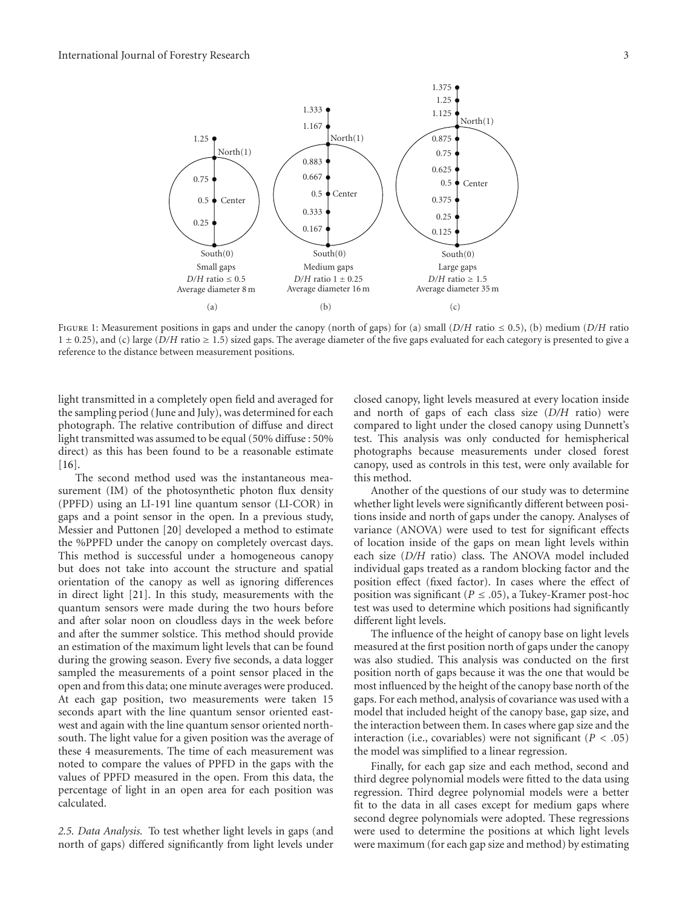

Figure 1: Measurement positions in gaps and under the canopy (north of gaps) for (a) small (*D/H* ratio ≤ 0.5), (b) medium (*D/H* ratio 1 ± 0*.*25), and (c) large (*D/H* ratio ≥ 1.5) sized gaps. The average diameter of the five gaps evaluated for each category is presented to give a reference to the distance between measurement positions.

light transmitted in a completely open field and averaged for the sampling period (June and July), was determined for each photograph. The relative contribution of diffuse and direct light transmitted was assumed to be equal (50% diffuse : 50% direct) as this has been found to be a reasonable estimate  $[16]$ .

The second method used was the instantaneous measurement (IM) of the photosynthetic photon flux density (PPFD) using an LI-191 line quantum sensor (LI-COR) in gaps and a point sensor in the open. In a previous study, Messier and Puttonen [20] developed a method to estimate the %PPFD under the canopy on completely overcast days. This method is successful under a homogeneous canopy but does not take into account the structure and spatial orientation of the canopy as well as ignoring differences in direct light [21]. In this study, measurements with the quantum sensors were made during the two hours before and after solar noon on cloudless days in the week before and after the summer solstice. This method should provide an estimation of the maximum light levels that can be found during the growing season. Every five seconds, a data logger sampled the measurements of a point sensor placed in the open and from this data; one minute averages were produced. At each gap position, two measurements were taken 15 seconds apart with the line quantum sensor oriented eastwest and again with the line quantum sensor oriented northsouth. The light value for a given position was the average of these 4 measurements. The time of each measurement was noted to compare the values of PPFD in the gaps with the values of PPFD measured in the open. From this data, the percentage of light in an open area for each position was calculated.

*2.5. Data Analysis.* To test whether light levels in gaps (and north of gaps) differed significantly from light levels under closed canopy, light levels measured at every location inside and north of gaps of each class size (*D/H* ratio) were compared to light under the closed canopy using Dunnett's test. This analysis was only conducted for hemispherical photographs because measurements under closed forest canopy, used as controls in this test, were only available for this method.

Another of the questions of our study was to determine whether light levels were significantly different between positions inside and north of gaps under the canopy. Analyses of variance (ANOVA) were used to test for significant effects of location inside of the gaps on mean light levels within each size (*D/H* ratio) class. The ANOVA model included individual gaps treated as a random blocking factor and the position effect (fixed factor). In cases where the effect of position was significant ( $P \leq .05$ ), a Tukey-Kramer post-hoc test was used to determine which positions had significantly different light levels.

The influence of the height of canopy base on light levels measured at the first position north of gaps under the canopy was also studied. This analysis was conducted on the first position north of gaps because it was the one that would be most influenced by the height of the canopy base north of the gaps. For each method, analysis of covariance was used with a model that included height of the canopy base, gap size, and the interaction between them. In cases where gap size and the interaction (i.e., covariables) were not significant  $(P < .05)$ the model was simplified to a linear regression.

Finally, for each gap size and each method, second and third degree polynomial models were fitted to the data using regression. Third degree polynomial models were a better fit to the data in all cases except for medium gaps where second degree polynomials were adopted. These regressions were used to determine the positions at which light levels were maximum (for each gap size and method) by estimating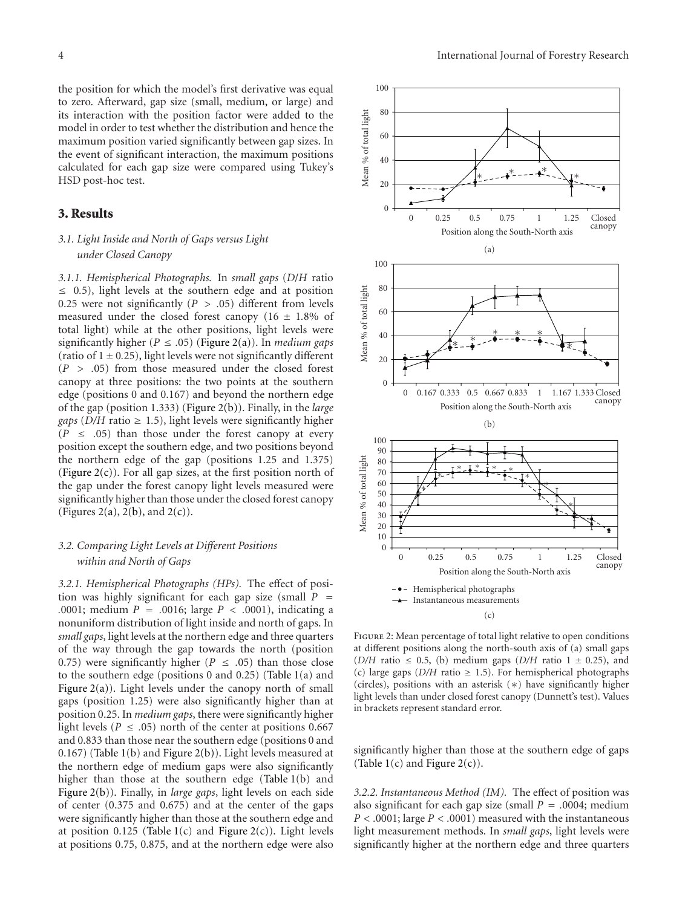the position for which the model's first derivative was equal to zero. Afterward, gap size (small, medium, or large) and its interaction with the position factor were added to the model in order to test whether the distribution and hence the maximum position varied significantly between gap sizes. In the event of significant interaction, the maximum positions calculated for each gap size were compared using Tukey's HSD post-hoc test.

## **3. Results**

# *3.1. Light Inside and North of Gaps versus Light under Closed Canopy*

*3.1.1. Hemispherical Photographs.* In *small gaps* (*D*/*H* ratio ≤ 0*.*5), light levels at the southern edge and at position 0.25 were not significantly ( $P > .05$ ) different from levels measured under the closed forest canopy  $(16 \pm 1.8\% \text{ of}$ total light) while at the other positions, light levels were significantly higher ( $P \le .05$ ) (Figure 2(a)). In *medium gaps* (ratio of  $1 \pm 0.25$ ), light levels were not significantly different (*P>.*05) from those measured under the closed forest canopy at three positions: the two points at the southern edge (positions 0 and 0.167) and beyond the northern edge of the gap (position 1.333) (Figure 2(b)). Finally, in the *large gaps* ( $D/H$  ratio  $\geq 1.5$ ), light levels were significantly higher  $(P \leq .05)$  than those under the forest canopy at every position except the southern edge, and two positions beyond the northern edge of the gap (positions 1.25 and 1.375) (Figure  $2(c)$ ). For all gap sizes, at the first position north of the gap under the forest canopy light levels measured were significantly higher than those under the closed forest canopy (Figures 2(a), 2(b), and  $2(c)$ ).

# *3.2. Comparing Light Levels at Different Positions within and North of Gaps*

*3.2.1. Hemispherical Photographs (HPs).* The effect of position was highly significant for each gap size (small  $P =$ .0001; medium  $P = .0016$ ; large  $P < .0001$ ), indicating a nonuniform distribution of light inside and north of gaps. In *small gaps*, light levels at the northern edge and three quarters of the way through the gap towards the north (position 0.75) were significantly higher ( $P \le .05$ ) than those close to the southern edge (positions 0 and 0.25) (Table 1(a) and Figure 2(a)). Light levels under the canopy north of small gaps (position 1.25) were also significantly higher than at position 0.25. In *medium gaps*, there were significantly higher light levels ( $P \leq .05$ ) north of the center at positions 0.667 and 0.833 than those near the southern edge (positions 0 and 0.167) (Table 1(b) and Figure 2(b)). Light levels measured at the northern edge of medium gaps were also significantly higher than those at the southern edge (Table 1(b) and Figure 2(b)). Finally, in *large gaps*, light levels on each side of center (0.375 and 0.675) and at the center of the gaps were significantly higher than those at the southern edge and at position  $0.125$  (Table 1(c) and Figure 2(c)). Light levels at positions 0.75, 0.875, and at the northern edge were also



Figure 2: Mean percentage of total light relative to open conditions at different positions along the north-south axis of (a) small gaps ( $D/H$  ratio  $\leq$  0.5, (b) medium gaps ( $D/H$  ratio 1  $\pm$  0.25), and (c) large gaps ( $D/H$  ratio  $\geq$  1.5). For hemispherical photographs (circles), positions with an asterisk (∗) have significantly higher light levels than under closed forest canopy (Dunnett's test). Values in brackets represent standard error.

significantly higher than those at the southern edge of gaps (Table  $1(c)$  and Figure  $2(c)$ ).

*3.2.2. Instantaneous Method (IM).* The effect of position was also significant for each gap size (small  $P = .0004$ ; medium *P<.*0001; large *P<.*0001) measured with the instantaneous light measurement methods. In *small gaps*, light levels were significantly higher at the northern edge and three quarters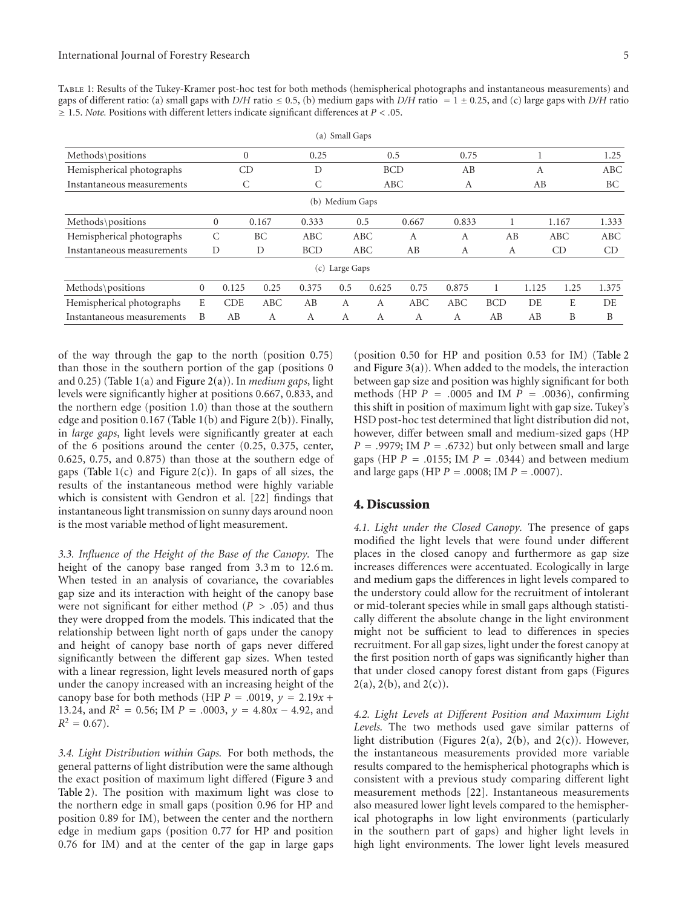Table 1: Results of the Tukey-Kramer post-hoc test for both methods (hemispherical photographs and instantaneous measurements) and gaps of different ratio: (a) small gaps with *D/H* ratio  $\leq$  0.5, (b) medium gaps with *D/H* ratio = 1  $\pm$  0.25, and (c) large gaps with *D/H* ratio ≥ 1*.*5. *Note.* Positions with different letters indicate significant differences at *P<.*05.

|                            |                  |                  |       |            | (a) Small Gaps |            |       |       |            |       |            |       |
|----------------------------|------------------|------------------|-------|------------|----------------|------------|-------|-------|------------|-------|------------|-------|
| Methods\positions          | $\boldsymbol{0}$ |                  |       | 0.25       |                | 0.5        |       | 0.75  |            |       |            | 1.25  |
| Hemispherical photographs  |                  | CD               |       | D          |                | <b>BCD</b> |       | AB    |            | A     |            | ABC   |
| Instantaneous measurements |                  | С                |       | С          |                | ABC        |       | A     |            | AB    |            | ВC    |
| (b) Medium Gaps            |                  |                  |       |            |                |            |       |       |            |       |            |       |
| Methods\positions          |                  | $\boldsymbol{0}$ | 0.167 | 0.333      |                | 0.5        | 0.667 | 0.833 |            |       | 1.167      | 1.333 |
| Hemispherical photographs  |                  | C                | BC    | ABC        |                | ABC        | A     | A     | AB         |       | <b>ABC</b> | ABC   |
| Instantaneous measurements |                  | D                | D     | <b>BCD</b> |                | ABC        | AB    | A     | A          |       | CD         | CD    |
| (c) Large Gaps             |                  |                  |       |            |                |            |       |       |            |       |            |       |
| Methods\positions          | $\overline{0}$   | 0.125            | 0.25  | 0.375      | 0.5            | 0.625      | 0.75  | 0.875 |            | 1.125 | 1.25       | 1.375 |
| Hemispherical photographs  | E                | <b>CDE</b>       | ABC   | AB         | А              | A          | ABC   | ABC   | <b>BCD</b> | DE.   | E          | DE    |
| Instantaneous measurements | B                | AB               | A     | A          | A              | A          | A     | A     | AB         | AB    | B          | B     |

of the way through the gap to the north (position 0.75) than those in the southern portion of the gap (positions 0 and 0.25) (Table 1(a) and Figure 2(a)). In *medium gaps*, light levels were significantly higher at positions 0.667, 0.833, and the northern edge (position 1.0) than those at the southern edge and position 0.167 (Table 1(b) and Figure 2(b)). Finally, in *large gaps*, light levels were significantly greater at each of the 6 positions around the center (0.25, 0.375, center, 0.625, 0.75, and 0.875) than those at the southern edge of gaps (Table  $1(c)$  and Figure  $2(c)$ ). In gaps of all sizes, the results of the instantaneous method were highly variable which is consistent with Gendron et al. [22] findings that instantaneous light transmission on sunny days around noon is the most variable method of light measurement.

*3.3. Influence of the Height of the Base of the Canopy.* The height of the canopy base ranged from 3.3 m to 12.6 m. When tested in an analysis of covariance, the covariables gap size and its interaction with height of the canopy base were not significant for either method  $(P > .05)$  and thus they were dropped from the models. This indicated that the relationship between light north of gaps under the canopy and height of canopy base north of gaps never differed significantly between the different gap sizes. When tested with a linear regression, light levels measured north of gaps under the canopy increased with an increasing height of the canopy base for both methods (HP  $P = .0019$ ,  $y = 2.19x +$ 13.24, and  $R^2 = 0.56$ ; IM  $P = .0003$ ,  $y = 4.80x - 4.92$ , and  $R^2 = 0.67$ .

*3.4. Light Distribution within Gaps.* For both methods, the general patterns of light distribution were the same although the exact position of maximum light differed (Figure 3 and Table 2). The position with maximum light was close to the northern edge in small gaps (position 0.96 for HP and position 0.89 for IM), between the center and the northern edge in medium gaps (position 0.77 for HP and position 0.76 for IM) and at the center of the gap in large gaps

(position 0.50 for HP and position 0.53 for IM) (Table 2 and Figure  $3(a)$ ). When added to the models, the interaction between gap size and position was highly significant for both methods (HP  $P = .0005$  and IM  $P = .0036$ ), confirming this shift in position of maximum light with gap size. Tukey's HSD post-hoc test determined that light distribution did not, however, differ between small and medium-sized gaps (HP *P* = *.*9979; IM *P* = *.*6732) but only between small and large gaps (HP *P* = *.*0155; IM *P* = *.*0344) and between medium and large gaps (HP *P* = *.*0008; IM *P* = *.*0007).

#### **4. Discussion**

*4.1. Light under the Closed Canopy.* The presence of gaps modified the light levels that were found under different places in the closed canopy and furthermore as gap size increases differences were accentuated. Ecologically in large and medium gaps the differences in light levels compared to the understory could allow for the recruitment of intolerant or mid-tolerant species while in small gaps although statistically different the absolute change in the light environment might not be sufficient to lead to differences in species recruitment. For all gap sizes, light under the forest canopy at the first position north of gaps was significantly higher than that under closed canopy forest distant from gaps (Figures  $2(a)$ ,  $2(b)$ , and  $2(c)$ ).

*4.2. Light Levels at Different Position and Maximum Light Levels.* The two methods used gave similar patterns of light distribution (Figures 2(a), 2(b), and 2(c)). However, the instantaneous measurements provided more variable results compared to the hemispherical photographs which is consistent with a previous study comparing different light measurement methods [22]. Instantaneous measurements also measured lower light levels compared to the hemispherical photographs in low light environments (particularly in the southern part of gaps) and higher light levels in high light environments. The lower light levels measured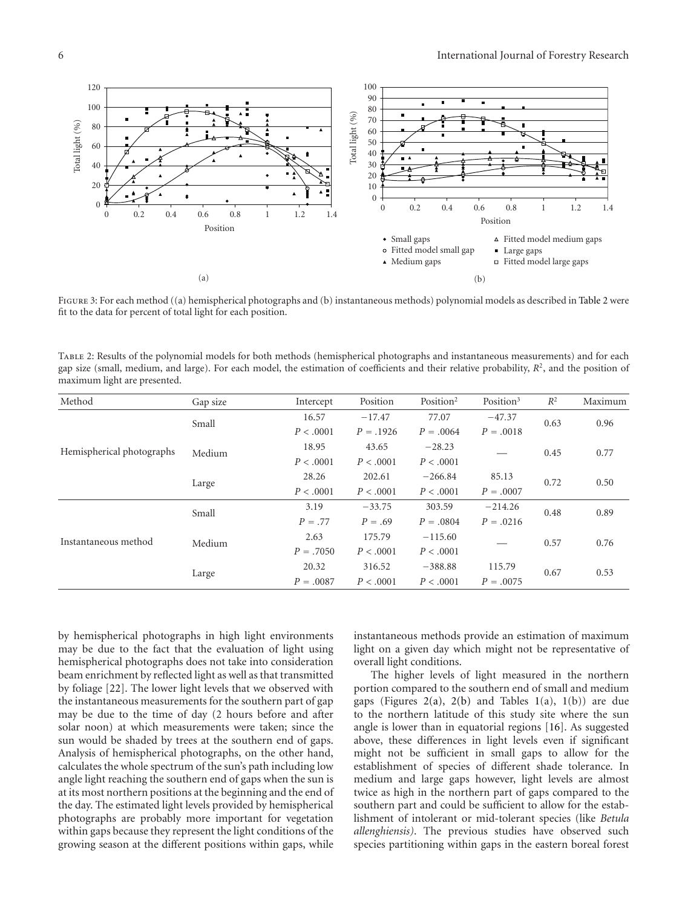

FIGURE 3: For each method ((a) hemispherical photographs and (b) instantaneous methods) polynomial models as described in Table 2 were fit to the data for percent of total light for each position.

Table 2: Results of the polynomial models for both methods (hemispherical photographs and instantaneous measurements) and for each gap size (small, medium, and large). For each model, the estimation of coefficients and their relative probability,  $R^2$ , and the position of maximum light are presented.

| Method                    | Gap size | Intercept   | Position    | Position <sup>2</sup> | Position <sup>3</sup> | $R^2$ | Maximum |
|---------------------------|----------|-------------|-------------|-----------------------|-----------------------|-------|---------|
| Hemispherical photographs | Small    | 16.57       | $-17.47$    | 77.07                 | $-47.37$              | 0.63  | 0.96    |
|                           |          | P < .0001   | $P = .1926$ | $P = .0064$           | $P=.0018$             |       |         |
|                           | Medium   | 18.95       | 43.65       | $-28.23$              |                       | 0.45  | 0.77    |
|                           |          | P < .0001   | P < .0001   | P < .0001             |                       |       |         |
|                           | Large    | 28.26       | 202.61      | $-266.84$             | 85.13                 | 0.72  | 0.50    |
|                           |          | P < .0001   | P < .0001   | P < .0001             | $P = .0007$           |       |         |
| Instantaneous method      | Small    | 3.19        | $-33.75$    | 303.59                | $-214.26$             | 0.48  | 0.89    |
|                           |          | $P = .77$   | $P = .69$   | $P = .0804$           | $P = .0216$           |       |         |
|                           | Medium   | 2.63        | 175.79      | $-115.60$             |                       | 0.57  | 0.76    |
|                           |          | $P = .7050$ | P < .0001   | P < .0001             |                       |       |         |
|                           | Large    | 20.32       | 316.52      | $-388.88$             | 115.79                | 0.67  | 0.53    |
|                           |          | $P = .0087$ | P < .0001   | P < .0001             | $P = .0075$           |       |         |

by hemispherical photographs in high light environments may be due to the fact that the evaluation of light using hemispherical photographs does not take into consideration beam enrichment by reflected light as well as that transmitted by foliage [22]. The lower light levels that we observed with the instantaneous measurements for the southern part of gap may be due to the time of day (2 hours before and after solar noon) at which measurements were taken; since the sun would be shaded by trees at the southern end of gaps. Analysis of hemispherical photographs, on the other hand, calculates the whole spectrum of the sun's path including low angle light reaching the southern end of gaps when the sun is at its most northern positions at the beginning and the end of the day. The estimated light levels provided by hemispherical photographs are probably more important for vegetation within gaps because they represent the light conditions of the growing season at the different positions within gaps, while

instantaneous methods provide an estimation of maximum light on a given day which might not be representative of overall light conditions.

The higher levels of light measured in the northern portion compared to the southern end of small and medium gaps (Figures 2(a), 2(b) and Tables  $1(a)$ ,  $1(b)$ ) are due to the northern latitude of this study site where the sun angle is lower than in equatorial regions [16]. As suggested above, these differences in light levels even if significant might not be sufficient in small gaps to allow for the establishment of species of different shade tolerance. In medium and large gaps however, light levels are almost twice as high in the northern part of gaps compared to the southern part and could be sufficient to allow for the establishment of intolerant or mid-tolerant species (like *Betula allenghiensis)*. The previous studies have observed such species partitioning within gaps in the eastern boreal forest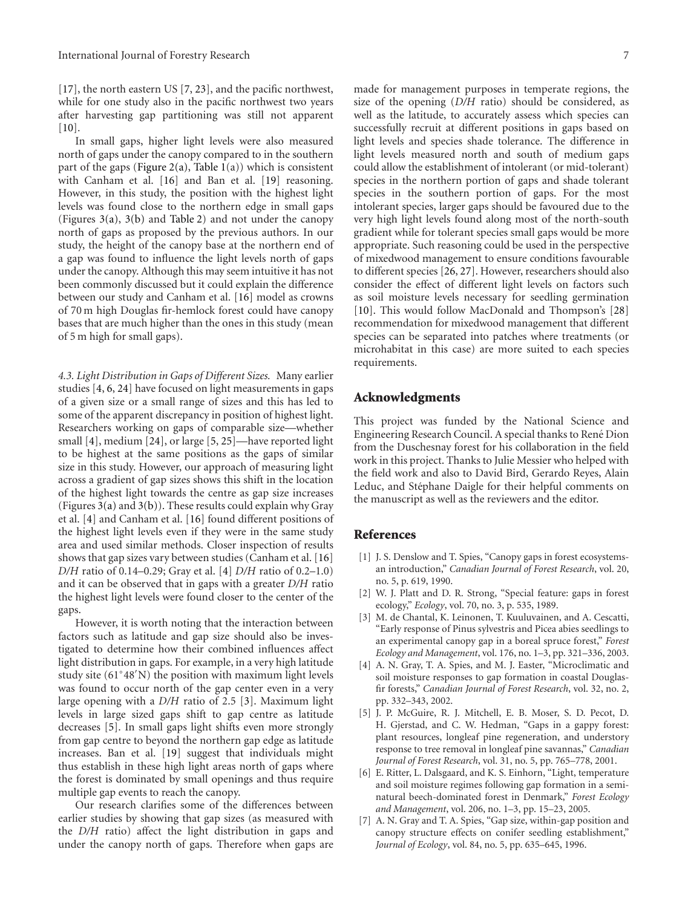[17], the north eastern US [7, 23], and the pacific northwest, while for one study also in the pacific northwest two years after harvesting gap partitioning was still not apparent  $[10]$ .

In small gaps, higher light levels were also measured north of gaps under the canopy compared to in the southern part of the gaps (Figure 2(a), Table  $1(a)$ ) which is consistent with Canham et al. [16] and Ban et al. [19] reasoning. However, in this study, the position with the highest light levels was found close to the northern edge in small gaps (Figures 3(a), 3(b) and Table 2) and not under the canopy north of gaps as proposed by the previous authors. In our study, the height of the canopy base at the northern end of a gap was found to influence the light levels north of gaps under the canopy. Although this may seem intuitive it has not been commonly discussed but it could explain the difference between our study and Canham et al. [16] model as crowns of 70 m high Douglas fir-hemlock forest could have canopy bases that are much higher than the ones in this study (mean of 5 m high for small gaps).

*4.3. Light Distribution in Gaps of Different Sizes.* Many earlier studies [4, 6, 24] have focused on light measurements in gaps of a given size or a small range of sizes and this has led to some of the apparent discrepancy in position of highest light. Researchers working on gaps of comparable size—whether small [4], medium [24], or large [5, 25]—have reported light to be highest at the same positions as the gaps of similar size in this study. However, our approach of measuring light across a gradient of gap sizes shows this shift in the location of the highest light towards the centre as gap size increases (Figures  $3(a)$  and  $3(b)$ ). These results could explain why Gray et al. [4] and Canham et al. [16] found different positions of the highest light levels even if they were in the same study area and used similar methods. Closer inspection of results shows that gap sizes vary between studies (Canham et al. [16] *D/H* ratio of 0.14–0.29; Gray et al. [4] *D/H* ratio of 0.2–1.0) and it can be observed that in gaps with a greater *D/H* ratio the highest light levels were found closer to the center of the gaps.

However, it is worth noting that the interaction between factors such as latitude and gap size should also be investigated to determine how their combined influences affect light distribution in gaps. For example, in a very high latitude study site (61◦48 N) the position with maximum light levels was found to occur north of the gap center even in a very large opening with a *D/H* ratio of 2.5 [3]. Maximum light levels in large sized gaps shift to gap centre as latitude decreases [5]. In small gaps light shifts even more strongly from gap centre to beyond the northern gap edge as latitude increases. Ban et al. [19] suggest that individuals might thus establish in these high light areas north of gaps where the forest is dominated by small openings and thus require multiple gap events to reach the canopy.

Our research clarifies some of the differences between earlier studies by showing that gap sizes (as measured with the *D/H* ratio) affect the light distribution in gaps and under the canopy north of gaps. Therefore when gaps are made for management purposes in temperate regions, the size of the opening (*D/H* ratio) should be considered, as well as the latitude, to accurately assess which species can successfully recruit at different positions in gaps based on light levels and species shade tolerance. The difference in light levels measured north and south of medium gaps could allow the establishment of intolerant (or mid-tolerant) species in the northern portion of gaps and shade tolerant species in the southern portion of gaps. For the most intolerant species, larger gaps should be favoured due to the very high light levels found along most of the north-south gradient while for tolerant species small gaps would be more appropriate. Such reasoning could be used in the perspective of mixedwood management to ensure conditions favourable to different species [26, 27]. However, researchers should also consider the effect of different light levels on factors such as soil moisture levels necessary for seedling germination [10]. This would follow MacDonald and Thompson's [28] recommendation for mixedwood management that different species can be separated into patches where treatments (or microhabitat in this case) are more suited to each species requirements.

# **Acknowledgments**

This project was funded by the National Science and Engineering Research Council. A special thanks to René Dion from the Duschesnay forest for his collaboration in the field work in this project. Thanks to Julie Messier who helped with the field work and also to David Bird, Gerardo Reyes, Alain Leduc, and Stéphane Daigle for their helpful comments on the manuscript as well as the reviewers and the editor.

# **References**

- [1] J. S. Denslow and T. Spies, "Canopy gaps in forest ecosystemsan introduction," *Canadian Journal of Forest Research*, vol. 20, no. 5, p. 619, 1990.
- [2] W. J. Platt and D. R. Strong, "Special feature: gaps in forest ecology," *Ecology*, vol. 70, no. 3, p. 535, 1989.
- [3] M. de Chantal, K. Leinonen, T. Kuuluvainen, and A. Cescatti, "Early response of Pinus sylvestris and Picea abies seedlings to an experimental canopy gap in a boreal spruce forest," *Forest Ecology and Management*, vol. 176, no. 1–3, pp. 321–336, 2003.
- [4] A. N. Gray, T. A. Spies, and M. J. Easter, "Microclimatic and soil moisture responses to gap formation in coastal Douglasfir forests," *Canadian Journal of Forest Research*, vol. 32, no. 2, pp. 332–343, 2002.
- [5] J. P. McGuire, R. J. Mitchell, E. B. Moser, S. D. Pecot, D. H. Gjerstad, and C. W. Hedman, "Gaps in a gappy forest: plant resources, longleaf pine regeneration, and understory response to tree removal in longleaf pine savannas," *Canadian Journal of Forest Research*, vol. 31, no. 5, pp. 765–778, 2001.
- [6] E. Ritter, L. Dalsgaard, and K. S. Einhorn, "Light, temperature and soil moisture regimes following gap formation in a seminatural beech-dominated forest in Denmark," *Forest Ecology and Management*, vol. 206, no. 1–3, pp. 15–23, 2005.
- [7] A. N. Gray and T. A. Spies, "Gap size, within-gap position and canopy structure effects on conifer seedling establishment," *Journal of Ecology*, vol. 84, no. 5, pp. 635–645, 1996.